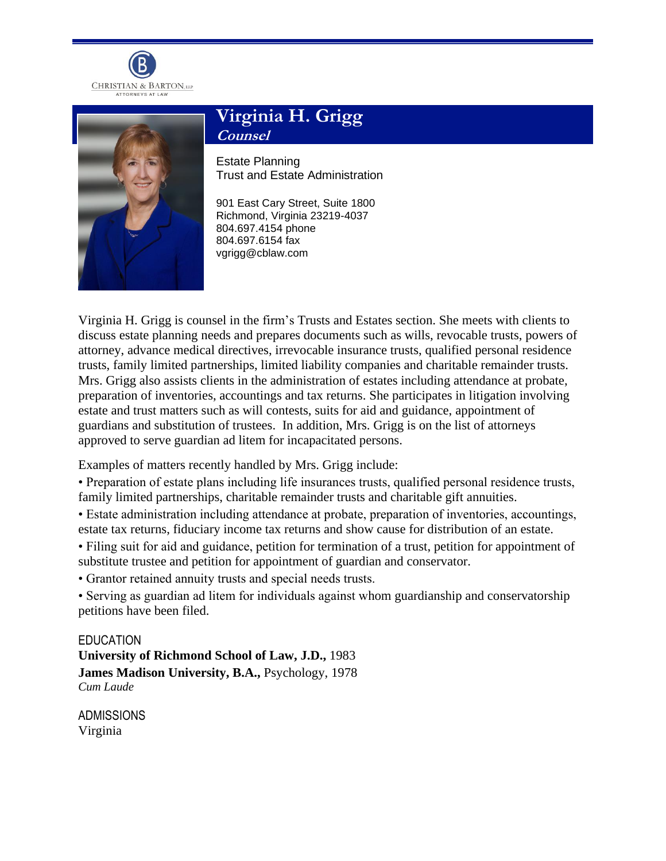



## **Virginia H. Grigg Counsel**

Estate Planning Trust and Estate Administration

901 East Cary Street, Suite 1800 Richmond, Virginia 23219-4037 804.697.4154 phone 804.697.6154 fax vgrigg@cblaw.com

Virginia H. Grigg is counsel in the firm's Trusts and Estates section. She meets with clients to discuss estate planning needs and prepares documents such as wills, revocable trusts, powers of attorney, advance medical directives, irrevocable insurance trusts, qualified personal residence trusts, family limited partnerships, limited liability companies and charitable remainder trusts. Mrs. Grigg also assists clients in the administration of estates including attendance at probate, preparation of inventories, accountings and tax returns. She participates in litigation involving estate and trust matters such as will contests, suits for aid and guidance, appointment of guardians and substitution of trustees. In addition, Mrs. Grigg is on the list of attorneys approved to serve guardian ad litem for incapacitated persons.

Examples of matters recently handled by Mrs. Grigg include:

• Preparation of estate plans including life insurances trusts, qualified personal residence trusts, family limited partnerships, charitable remainder trusts and charitable gift annuities.

- Estate administration including attendance at probate, preparation of inventories, accountings, estate tax returns, fiduciary income tax returns and show cause for distribution of an estate.
- Filing suit for aid and guidance, petition for termination of a trust, petition for appointment of substitute trustee and petition for appointment of guardian and conservator.

• Grantor retained annuity trusts and special needs trusts.

• Serving as guardian ad litem for individuals against whom guardianship and conservatorship petitions have been filed.

EDUCATION **University of Richmond School of Law, J.D.,** 1983 **James Madison University, B.A.,** Psychology, 1978 *Cum Laude*

ADMISSIONS Virginia